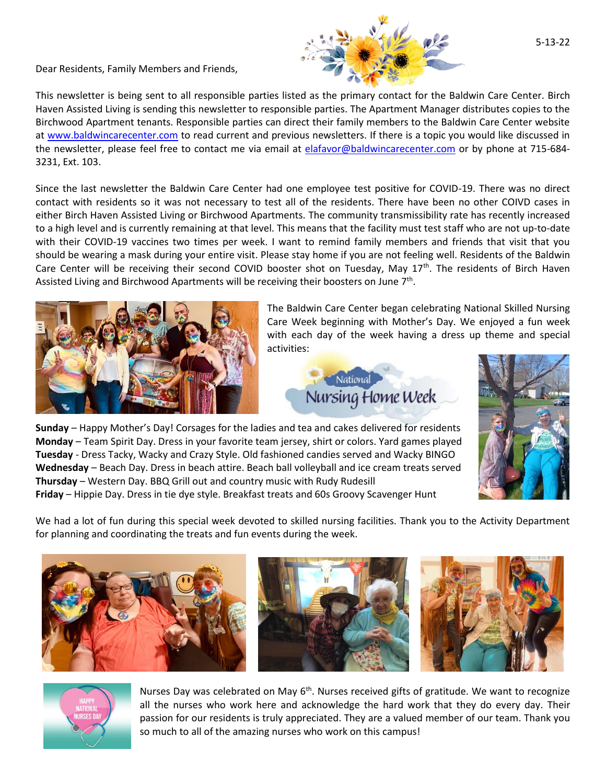Dear Residents, Family Members and Friends,



This newsletter is being sent to all responsible parties listed as the primary contact for the Baldwin Care Center. Birch Haven Assisted Living is sending this newsletter to responsible parties. The Apartment Manager distributes copies to the Birchwood Apartment tenants. Responsible parties can direct their family members to the Baldwin Care Center website at [www.baldwincarecenter.com](http://www.baldwincarecenter.com/) to read current and previous newsletters. If there is a topic you would like discussed in the newsletter, please feel free to contact me via email at [elafavor@baldwincarecenter.com](mailto:elafavor@baldwincarecenter.com) or by phone at 715-684-3231, Ext. 103.

Since the last newsletter the Baldwin Care Center had one employee test positive for COVID-19. There was no direct contact with residents so it was not necessary to test all of the residents. There have been no other COIVD cases in either Birch Haven Assisted Living or Birchwood Apartments. The community transmissibility rate has recently increased to a high level and is currently remaining at that level. This means that the facility must test staff who are not up-to-date with their COVID-19 vaccines two times per week. I want to remind family members and friends that visit that you should be wearing a mask during your entire visit. Please stay home if you are not feeling well. Residents of the Baldwin Care Center will be receiving their second COVID booster shot on Tuesday, May 17<sup>th</sup>. The residents of Birch Haven Assisted Living and Birchwood Apartments will be receiving their boosters on June 7<sup>th</sup>.



The Baldwin Care Center began celebrating National Skilled Nursing Care Week beginning with Mother's Day. We enjoyed a fun week with each day of the week having a dress up theme and special activities:





**Sunday** – Happy Mother's Day! Corsages for the ladies and tea and cakes delivered for residents **Monday** – Team Spirit Day. Dress in your favorite team jersey, shirt or colors. Yard games played **Tuesday** - Dress Tacky, Wacky and Crazy Style. Old fashioned candies served and Wacky BINGO **Wednesday** – Beach Day. Dress in beach attire. Beach ball volleyball and ice cream treats served **Thursday** – Western Day. BBQ Grill out and country music with Rudy Rudesill **Friday** – Hippie Day. Dress in tie dye style. Breakfast treats and 60s Groovy Scavenger Hunt

We had a lot of fun during this special week devoted to skilled nursing facilities. Thank you to the Activity Department for planning and coordinating the treats and fun events during the week.





Nurses Day was celebrated on May  $6<sup>th</sup>$ . Nurses received gifts of gratitude. We want to recognize all the nurses who work here and acknowledge the hard work that they do every day. Their passion for our residents is truly appreciated. They are a valued member of our team. Thank you so much to all of the amazing nurses who work on this campus!